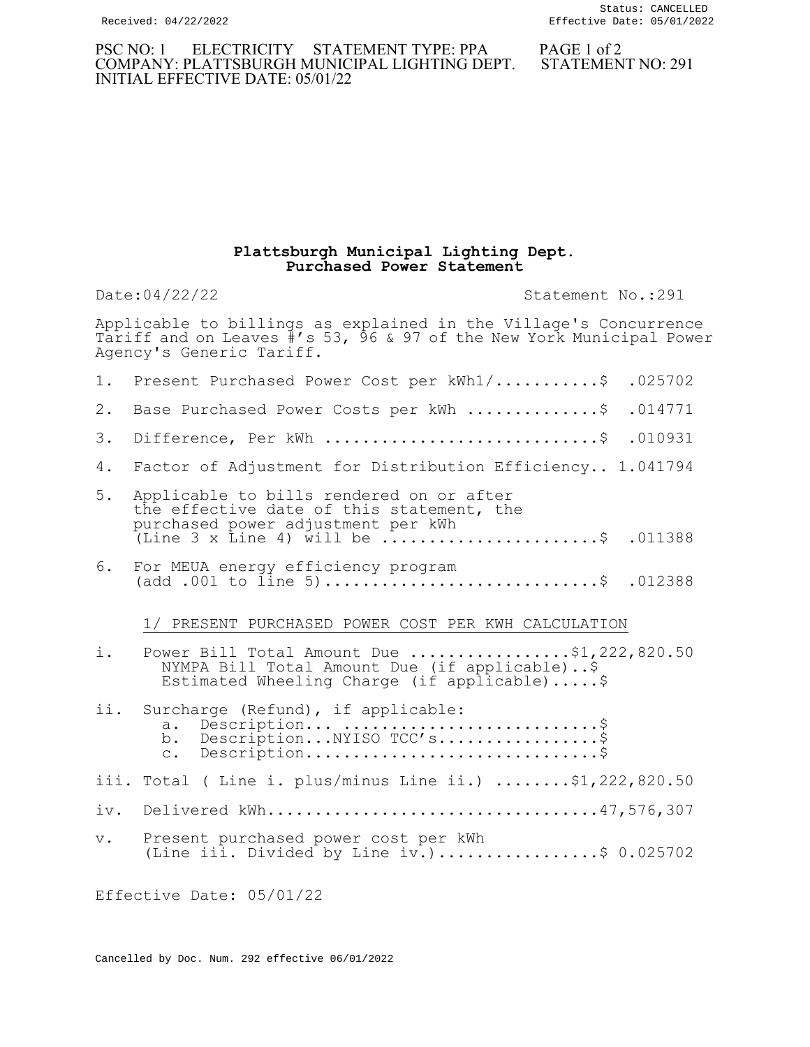## PSC NO: 1 ELECTRICITY STATEMENT TYPE: PPA PAGE 1 of 2 COMPANY: PLATTSBURGH MUNICIPAL LIGHTING DEPT. STATEMENT NO: 291 INITIAL EFFECTIVE DATE: 05/01/22

## Plattsburgh Municipal Lighting Dept. Purchased Power Statement

Date:04/22/22 Statement No.:291

Applicable to billings as explained in the Village's Concurrence Tariff and on Leaves #'s 53, 96 & 97 of the New York Municipal Power Agency's Generic Tariff.

| 1.             | Present Purchased Power Cost per kWh1/\$<br>.025702                                                                                                                                                        |
|----------------|------------------------------------------------------------------------------------------------------------------------------------------------------------------------------------------------------------|
| $2$ .          | .014771<br>Base Purchased Power Costs per kWh \$                                                                                                                                                           |
| 3.             | Difference, Per kWh \$<br>.010931                                                                                                                                                                          |
| 4.             | Factor of Adjustment for Distribution Efficiency 1.041794                                                                                                                                                  |
| 5.             | Applicable to bills rendered on or after<br>the effective date of this statement, the<br>purchased power adjustment per kWh<br>(Line 3 x Line 4) will be $\ldots \ldots \ldots \ldots \ldots$ . \$ .011388 |
| 6.             | For MEUA energy efficiency program<br>(add .001 to $\tilde{1}$ ine 5)\$ .012388                                                                                                                            |
|                | 1/ PRESENT PURCHASED POWER COST PER KWH CALCULATION                                                                                                                                                        |
| i.             | Power Bill Total Amount Due \$1,222,820.50<br>NYMPA Bill Total Amount Due (if applicable)\$<br>Estimated Wheeling Charge (if applicable)\$                                                                 |
| ii.            | Surcharge (Refund), if applicable:<br>a. Description \$<br>b. DescriptionNYISO TCC's\$<br>$Description \ldots \ldots \ldots \ldots \ldots \ldots \ldots \ldots \ldots \$<br>$\mathsf{C}$ .                 |
|                | iii. Total ( Line i. plus/minus Line ii.) \$1,222,820.50                                                                                                                                                   |
| iv.            | Delivered kWh47,576,307                                                                                                                                                                                    |
| V <sub>1</sub> | Present purchased power cost per kWh<br>(Line iii. Divided by Line iv.)\$ 0.025702                                                                                                                         |

Effective Date: 05/01/22

Cancelled by Doc. Num. 292 effective 06/01/2022